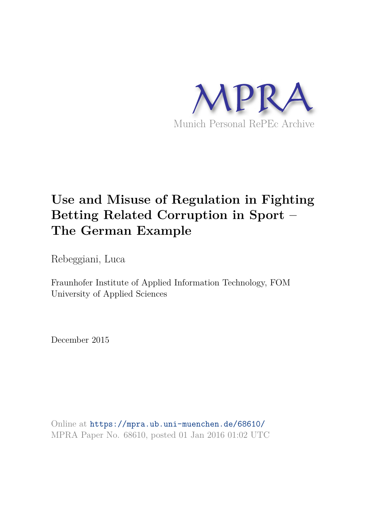

# **Use and Misuse of Regulation in Fighting Betting Related Corruption in Sport – The German Example**

Rebeggiani, Luca

Fraunhofer Institute of Applied Information Technology, FOM University of Applied Sciences

December 2015

Online at https://mpra.ub.uni-muenchen.de/68610/ MPRA Paper No. 68610, posted 01 Jan 2016 01:02 UTC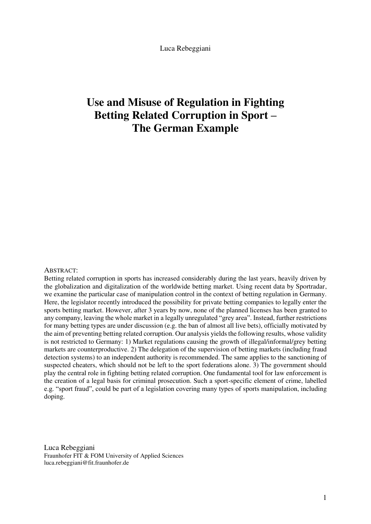Luca Rebeggiani

## **Use and Misuse of Regulation in Fighting Betting Related Corruption in Sport – The German Example**

#### ABSTRACT:

Betting related corruption in sports has increased considerably during the last years, heavily driven by the globalization and digitalization of the worldwide betting market. Using recent data by Sportradar, we examine the particular case of manipulation control in the context of betting regulation in Germany. Here, the legislator recently introduced the possibility for private betting companies to legally enter the sports betting market. However, after 3 years by now, none of the planned licenses has been granted to any company, leaving the whole market in a legally unregulated "grey area". Instead, further restrictions for many betting types are under discussion (e.g. the ban of almost all live bets), officially motivated by the aim of preventing betting related corruption. Our analysis yields the following results, whose validity is not restricted to Germany: 1) Market regulations causing the growth of illegal/informal/grey betting markets are counterproductive. 2) The delegation of the supervision of betting markets (including fraud detection systems) to an independent authority is recommended. The same applies to the sanctioning of suspected cheaters, which should not be left to the sport federations alone. 3) The government should play the central role in fighting betting related corruption. One fundamental tool for law enforcement is the creation of a legal basis for criminal prosecution. Such a sport-specific element of crime, labelled e.g. "sport fraud", could be part of a legislation covering many types of sports manipulation, including doping.

Luca Rebeggiani Fraunhofer FIT & FOM University of Applied Sciences luca.rebeggiani@fit.fraunhofer.de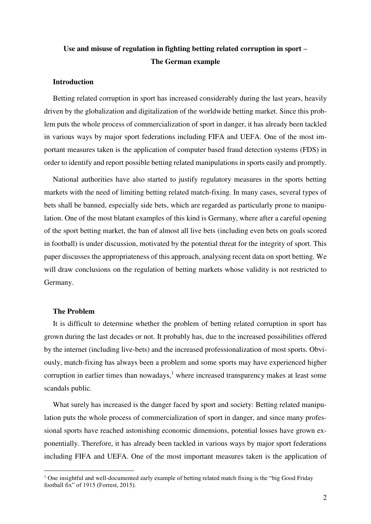### **Use and misuse of regulation in fighting betting related corruption in sport – The German example**

#### **Introduction**

Betting related corruption in sport has increased considerably during the last years, heavily driven by the globalization and digitalization of the worldwide betting market. Since this problem puts the whole process of commercialization of sport in danger, it has already been tackled in various ways by major sport federations including FIFA and UEFA. One of the most important measures taken is the application of computer based fraud detection systems (FDS) in order to identify and report possible betting related manipulations in sports easily and promptly.

National authorities have also started to justify regulatory measures in the sports betting markets with the need of limiting betting related match-fixing. In many cases, several types of bets shall be banned, especially side bets, which are regarded as particularly prone to manipulation. One of the most blatant examples of this kind is Germany, where after a careful opening of the sport betting market, the ban of almost all live bets (including even bets on goals scored in football) is under discussion, motivated by the potential threat for the integrity of sport. This paper discusses the appropriateness of this approach, analysing recent data on sport betting. We will draw conclusions on the regulation of betting markets whose validity is not restricted to Germany.

#### **The Problem**

<u>.</u>

It is difficult to determine whether the problem of betting related corruption in sport has grown during the last decades or not. It probably has, due to the increased possibilities offered by the internet (including live-bets) and the increased professionalization of most sports. Obviously, match-fixing has always been a problem and some sports may have experienced higher corruption in earlier times than nowadays, $<sup>1</sup>$  where increased transparency makes at least some</sup> scandals public.

What surely has increased is the danger faced by sport and society: Betting related manipulation puts the whole process of commercialization of sport in danger, and since many professional sports have reached astonishing economic dimensions, potential losses have grown exponentially. Therefore, it has already been tackled in various ways by major sport federations including FIFA and UEFA. One of the most important measures taken is the application of

<sup>&</sup>lt;sup>1</sup> One insightful and well-documented early example of betting related match fixing is the "big Good Friday football fix" of 1915 (Forrest, 2015).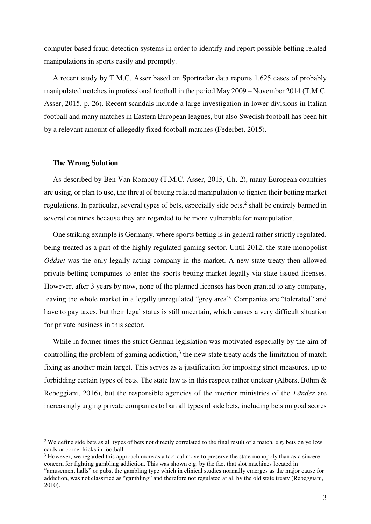computer based fraud detection systems in order to identify and report possible betting related manipulations in sports easily and promptly.

A recent study by T.M.C. Asser based on Sportradar data reports 1,625 cases of probably manipulated matches in professional football in the period May 2009 – November 2014 (T.M.C. Asser, 2015, p. 26). Recent scandals include a large investigation in lower divisions in Italian football and many matches in Eastern European leagues, but also Swedish football has been hit by a relevant amount of allegedly fixed football matches (Federbet, 2015).

#### **The Wrong Solution**

<u>.</u>

As described by Ben Van Rompuy (T.M.C. Asser, 2015, Ch. 2), many European countries are using, or plan to use, the threat of betting related manipulation to tighten their betting market regulations. In particular, several types of bets, especially side bets,<sup>2</sup> shall be entirely banned in several countries because they are regarded to be more vulnerable for manipulation.

One striking example is Germany, where sports betting is in general rather strictly regulated, being treated as a part of the highly regulated gaming sector. Until 2012, the state monopolist *Oddset* was the only legally acting company in the market. A new state treaty then allowed private betting companies to enter the sports betting market legally via state-issued licenses. However, after 3 years by now, none of the planned licenses has been granted to any company, leaving the whole market in a legally unregulated "grey area": Companies are "tolerated" and have to pay taxes, but their legal status is still uncertain, which causes a very difficult situation for private business in this sector.

While in former times the strict German legislation was motivated especially by the aim of controlling the problem of gaming addiction, $3$  the new state treaty adds the limitation of match fixing as another main target. This serves as a justification for imposing strict measures, up to forbidding certain types of bets. The state law is in this respect rather unclear (Albers, Böhm  $\&$ Rebeggiani, 2016), but the responsible agencies of the interior ministries of the *Länder* are increasingly urging private companies to ban all types of side bets, including bets on goal scores

<sup>&</sup>lt;sup>2</sup> We define side bets as all types of bets not directly correlated to the final result of a match, e.g. bets on yellow cards or corner kicks in football.

<sup>&</sup>lt;sup>3</sup> However, we regarded this approach more as a tactical move to preserve the state monopoly than as a sincere concern for fighting gambling addiction. This was shown e.g. by the fact that slot machines located in "amusement halls" or pubs, the gambling type which in clinical studies normally emerges as the major cause for addiction, was not classified as "gambling" and therefore not regulated at all by the old state treaty (Rebeggiani, 2010).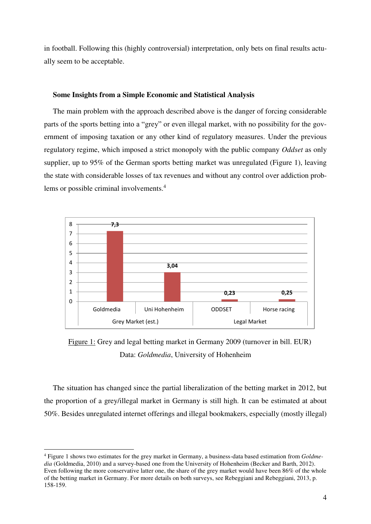in football. Following this (highly controversial) interpretation, only bets on final results actually seem to be acceptable.

#### **Some Insights from a Simple Economic and Statistical Analysis**

The main problem with the approach described above is the danger of forcing considerable parts of the sports betting into a "grey" or even illegal market, with no possibility for the government of imposing taxation or any other kind of regulatory measures. Under the previous regulatory regime, which imposed a strict monopoly with the public company *Oddset* as only supplier, up to 95% of the German sports betting market was unregulated (Figure 1), leaving the state with considerable losses of tax revenues and without any control over addiction problems or possible criminal involvements.<sup>4</sup>



Figure 1: Grey and legal betting market in Germany 2009 (turnover in bill. EUR) Data: *Goldmedia*, University of Hohenheim

The situation has changed since the partial liberalization of the betting market in 2012, but the proportion of a grey/illegal market in Germany is still high. It can be estimated at about 50%. Besides unregulated internet offerings and illegal bookmakers, especially (mostly illegal)

<u>.</u>

<sup>4</sup> Figure 1 shows two estimates for the grey market in Germany, a business-data based estimation from *Goldmedia* (Goldmedia, 2010) and a survey-based one from the University of Hohenheim (Becker and Barth, 2012). Even following the more conservative latter one, the share of the grey market would have been 86% of the whole of the betting market in Germany. For more details on both surveys, see Rebeggiani and Rebeggiani, 2013, p. 158-159.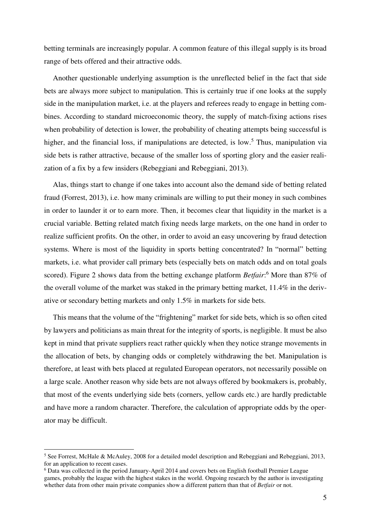betting terminals are increasingly popular. A common feature of this illegal supply is its broad range of bets offered and their attractive odds.

Another questionable underlying assumption is the unreflected belief in the fact that side bets are always more subject to manipulation. This is certainly true if one looks at the supply side in the manipulation market, i.e. at the players and referees ready to engage in betting combines. According to standard microeconomic theory, the supply of match-fixing actions rises when probability of detection is lower, the probability of cheating attempts being successful is higher, and the financial loss, if manipulations are detected, is low.<sup>5</sup> Thus, manipulation via side bets is rather attractive, because of the smaller loss of sporting glory and the easier realization of a fix by a few insiders (Rebeggiani and Rebeggiani, 2013).

Alas, things start to change if one takes into account also the demand side of betting related fraud (Forrest, 2013), i.e. how many criminals are willing to put their money in such combines in order to launder it or to earn more. Then, it becomes clear that liquidity in the market is a crucial variable. Betting related match fixing needs large markets, on the one hand in order to realize sufficient profits. On the other, in order to avoid an easy uncovering by fraud detection systems. Where is most of the liquidity in sports betting concentrated? In "normal" betting markets, i.e. what provider call primary bets (especially bets on match odds and on total goals scored). Figure 2 shows data from the betting exchange platform *Betfair*:<sup>6</sup> More than 87% of the overall volume of the market was staked in the primary betting market, 11.4% in the derivative or secondary betting markets and only 1.5% in markets for side bets.

This means that the volume of the "frightening" market for side bets, which is so often cited by lawyers and politicians as main threat for the integrity of sports, is negligible. It must be also kept in mind that private suppliers react rather quickly when they notice strange movements in the allocation of bets, by changing odds or completely withdrawing the bet. Manipulation is therefore, at least with bets placed at regulated European operators, not necessarily possible on a large scale. Another reason why side bets are not always offered by bookmakers is, probably, that most of the events underlying side bets (corners, yellow cards etc.) are hardly predictable and have more a random character. Therefore, the calculation of appropriate odds by the operator may be difficult.

<u>.</u>

<sup>&</sup>lt;sup>5</sup> See Forrest, McHale & McAuley, 2008 for a detailed model description and Rebeggiani and Rebeggiani, 2013, for an application to recent cases.

<sup>&</sup>lt;sup>6</sup> Data was collected in the period January-April 2014 and covers bets on English football Premier League games, probably the league with the highest stakes in the world. Ongoing research by the author is investigating whether data from other main private companies show a different pattern than that of *Betfair* or not.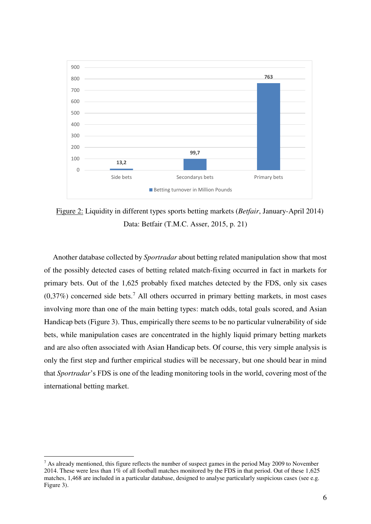

Figure 2: Liquidity in different types sports betting markets (*Betfair*, January-April 2014) Data: Betfair (T.M.C. Asser, 2015, p. 21)

Another database collected by *Sportradar* about betting related manipulation show that most of the possibly detected cases of betting related match-fixing occurred in fact in markets for primary bets. Out of the 1,625 probably fixed matches detected by the FDS, only six cases  $(0,37\%)$  concerned side bets.<sup>7</sup> All others occurred in primary betting markets, in most cases involving more than one of the main betting types: match odds, total goals scored, and Asian Handicap bets (Figure 3). Thus, empirically there seems to be no particular vulnerability of side bets, while manipulation cases are concentrated in the highly liquid primary betting markets and are also often associated with Asian Handicap bets. Of course, this very simple analysis is only the first step and further empirical studies will be necessary, but one should bear in mind that *Sportradar*'s FDS is one of the leading monitoring tools in the world, covering most of the international betting market.

1

 $<sup>7</sup>$  As already mentioned, this figure reflects the number of suspect games in the period May 2009 to November</sup> 2014. These were less than 1% of all football matches monitored by the FDS in that period. Out of these 1,625 matches, 1,468 are included in a particular database, designed to analyse particularly suspicious cases (see e.g. Figure 3).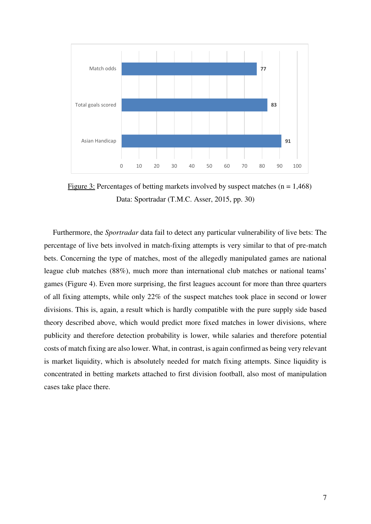

Figure 3: Percentages of betting markets involved by suspect matches ( $n = 1,468$ ) Data: Sportradar (T.M.C. Asser, 2015, pp. 30)

Furthermore, the *Sportradar* data fail to detect any particular vulnerability of live bets: The percentage of live bets involved in match-fixing attempts is very similar to that of pre-match bets. Concerning the type of matches, most of the allegedly manipulated games are national league club matches (88%), much more than international club matches or national teams' games (Figure 4). Even more surprising, the first leagues account for more than three quarters of all fixing attempts, while only 22% of the suspect matches took place in second or lower divisions. This is, again, a result which is hardly compatible with the pure supply side based theory described above, which would predict more fixed matches in lower divisions, where publicity and therefore detection probability is lower, while salaries and therefore potential costs of match fixing are also lower. What, in contrast, is again confirmed as being very relevant is market liquidity, which is absolutely needed for match fixing attempts. Since liquidity is concentrated in betting markets attached to first division football, also most of manipulation cases take place there.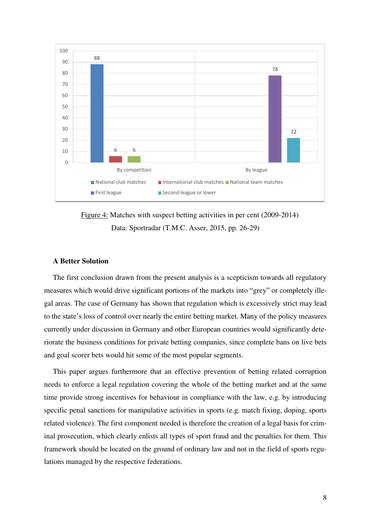

Figure 4: Matches with suspect betting activities in per cent (2009-2014) Data: Sportradar (T.M.C. Asser, 2015, pp. 26-29)

#### **A Better Solution**

The first conclusion drawn from the present analysis is a scepticism towards all regulatory measures which would drive significant portions of the markets into "grey" or completely illegal areas. The case of Germany has shown that regulation which is excessively strict may lead to the state's loss of control over nearly the entire betting market. Many of the policy measures currently under discussion in Germany and other European countries would significantly deteriorate the business conditions for private betting companies, since complete bans on live bets and goal scorer bets would hit some of the most popular segments.

This paper argues furthermore that an effective prevention of betting related corruption needs to enforce a legal regulation covering the whole of the betting market and at the same time provide strong incentives for behaviour in compliance with the law, e.g. by introducing specific penal sanctions for manipulative activities in sports (e.g. match fixing, doping, sports related violence). The first component needed is therefore the creation of a legal basis for criminal prosecution, which clearly enlists all types of sport fraud and the penalties for them. This framework should be located on the ground of ordinary law and not in the field of sports regulations managed by the respective federations.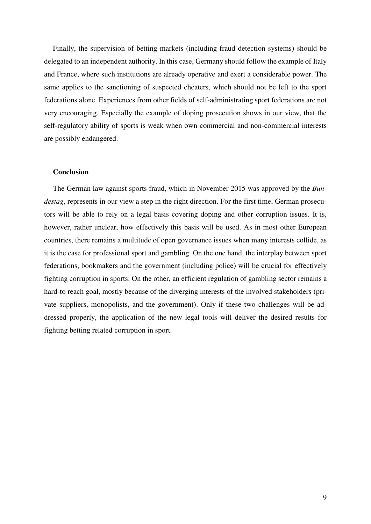Finally, the supervision of betting markets (including fraud detection systems) should be delegated to an independent authority. In this case, Germany should follow the example of Italy and France, where such institutions are already operative and exert a considerable power. The same applies to the sanctioning of suspected cheaters, which should not be left to the sport federations alone. Experiences from other fields of self-administrating sport federations are not very encouraging. Especially the example of doping prosecution shows in our view, that the self-regulatory ability of sports is weak when own commercial and non-commercial interests are possibly endangered.

#### **Conclusion**

The German law against sports fraud, which in November 2015 was approved by the *Bundestag*, represents in our view a step in the right direction. For the first time, German prosecutors will be able to rely on a legal basis covering doping and other corruption issues. It is, however, rather unclear, how effectively this basis will be used. As in most other European countries, there remains a multitude of open governance issues when many interests collide, as it is the case for professional sport and gambling. On the one hand, the interplay between sport federations, bookmakers and the government (including police) will be crucial for effectively fighting corruption in sports. On the other, an efficient regulation of gambling sector remains a hard-to reach goal, mostly because of the diverging interests of the involved stakeholders (private suppliers, monopolists, and the government). Only if these two challenges will be addressed properly, the application of the new legal tools will deliver the desired results for fighting betting related corruption in sport.